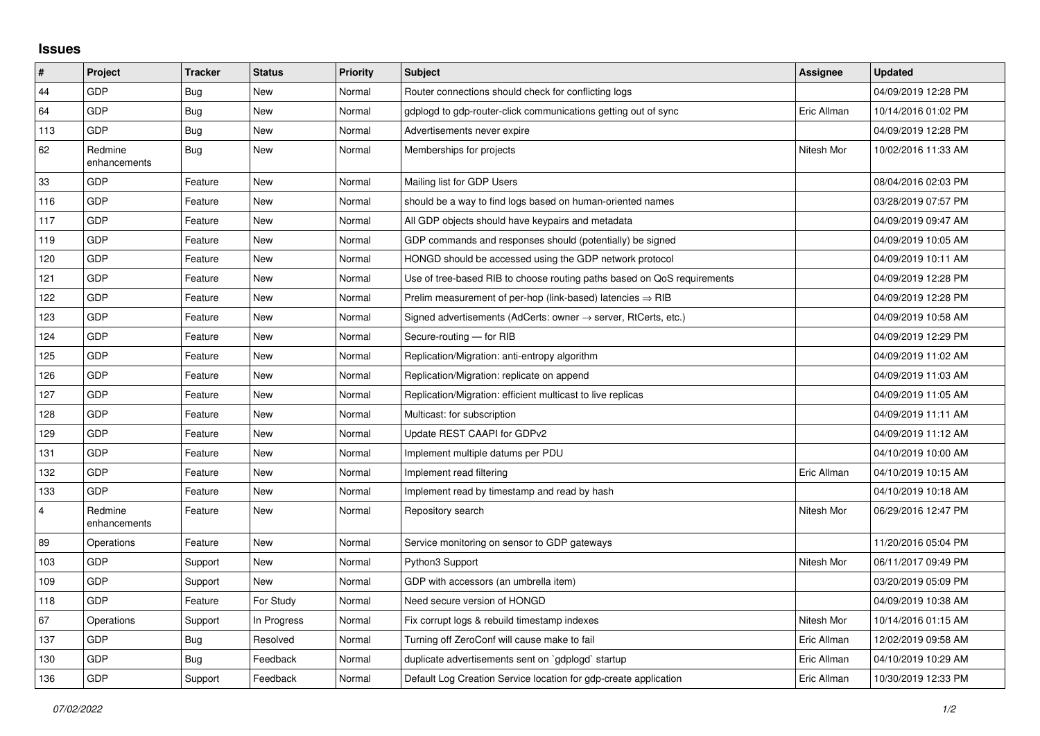## **Issues**

| #              | Project                 | <b>Tracker</b> | <b>Status</b> | <b>Priority</b> | <b>Subject</b>                                                             | Assignee    | <b>Updated</b>      |
|----------------|-------------------------|----------------|---------------|-----------------|----------------------------------------------------------------------------|-------------|---------------------|
| 44             | GDP                     | <b>Bug</b>     | <b>New</b>    | Normal          | Router connections should check for conflicting logs                       |             | 04/09/2019 12:28 PM |
| 64             | GDP                     | Bug            | <b>New</b>    | Normal          | gdplogd to gdp-router-click communications getting out of sync             | Eric Allman | 10/14/2016 01:02 PM |
| 113            | GDP                     | <b>Bug</b>     | <b>New</b>    | Normal          | Advertisements never expire                                                |             | 04/09/2019 12:28 PM |
| 62             | Redmine<br>enhancements | <b>Bug</b>     | <b>New</b>    | Normal          | Memberships for projects                                                   | Nitesh Mor  | 10/02/2016 11:33 AM |
| 33             | GDP                     | Feature        | <b>New</b>    | Normal          | Mailing list for GDP Users                                                 |             | 08/04/2016 02:03 PM |
| 116            | GDP                     | Feature        | <b>New</b>    | Normal          | should be a way to find logs based on human-oriented names                 |             | 03/28/2019 07:57 PM |
| 117            | GDP                     | Feature        | <b>New</b>    | Normal          | All GDP objects should have keypairs and metadata                          |             | 04/09/2019 09:47 AM |
| 119            | GDP                     | Feature        | <b>New</b>    | Normal          | GDP commands and responses should (potentially) be signed                  |             | 04/09/2019 10:05 AM |
| 120            | <b>GDP</b>              | Feature        | <b>New</b>    | Normal          | HONGD should be accessed using the GDP network protocol                    |             | 04/09/2019 10:11 AM |
| 121            | GDP                     | Feature        | <b>New</b>    | Normal          | Use of tree-based RIB to choose routing paths based on QoS requirements    |             | 04/09/2019 12:28 PM |
| 122            | GDP                     | Feature        | New           | Normal          | Prelim measurement of per-hop (link-based) latencies $\Rightarrow$ RIB     |             | 04/09/2019 12:28 PM |
| 123            | GDP                     | Feature        | <b>New</b>    | Normal          | Signed advertisements (AdCerts: owner $\rightarrow$ server, RtCerts, etc.) |             | 04/09/2019 10:58 AM |
| 124            | GDP                     | Feature        | <b>New</b>    | Normal          | Secure-routing - for RIB                                                   |             | 04/09/2019 12:29 PM |
| 125            | GDP                     | Feature        | <b>New</b>    | Normal          | Replication/Migration: anti-entropy algorithm                              |             | 04/09/2019 11:02 AM |
| 126            | GDP                     | Feature        | <b>New</b>    | Normal          | Replication/Migration: replicate on append                                 |             | 04/09/2019 11:03 AM |
| 127            | GDP                     | Feature        | <b>New</b>    | Normal          | Replication/Migration: efficient multicast to live replicas                |             | 04/09/2019 11:05 AM |
| 128            | GDP                     | Feature        | New           | Normal          | Multicast: for subscription                                                |             | 04/09/2019 11:11 AM |
| 129            | GDP                     | Feature        | <b>New</b>    | Normal          | Update REST CAAPI for GDPv2                                                |             | 04/09/2019 11:12 AM |
| 131            | GDP                     | Feature        | <b>New</b>    | Normal          | Implement multiple datums per PDU                                          |             | 04/10/2019 10:00 AM |
| 132            | GDP                     | Feature        | New           | Normal          | Implement read filtering                                                   | Eric Allman | 04/10/2019 10:15 AM |
| 133            | GDP                     | Feature        | <b>New</b>    | Normal          | Implement read by timestamp and read by hash                               |             | 04/10/2019 10:18 AM |
| $\overline{4}$ | Redmine<br>enhancements | Feature        | <b>New</b>    | Normal          | Repository search                                                          | Nitesh Mor  | 06/29/2016 12:47 PM |
| 89             | Operations              | Feature        | New           | Normal          | Service monitoring on sensor to GDP gateways                               |             | 11/20/2016 05:04 PM |
| 103            | GDP                     | Support        | New           | Normal          | Python3 Support                                                            | Nitesh Mor  | 06/11/2017 09:49 PM |
| 109            | GDP                     | Support        | <b>New</b>    | Normal          | GDP with accessors (an umbrella item)                                      |             | 03/20/2019 05:09 PM |
| 118            | GDP                     | Feature        | For Study     | Normal          | Need secure version of HONGD                                               |             | 04/09/2019 10:38 AM |
| 67             | Operations              | Support        | In Progress   | Normal          | Fix corrupt logs & rebuild timestamp indexes                               | Nitesh Mor  | 10/14/2016 01:15 AM |
| 137            | GDP                     | <b>Bug</b>     | Resolved      | Normal          | Turning off ZeroConf will cause make to fail                               | Eric Allman | 12/02/2019 09:58 AM |
| 130            | GDP                     | Bug            | Feedback      | Normal          | duplicate advertisements sent on `gdplogd` startup                         | Eric Allman | 04/10/2019 10:29 AM |
| 136            | GDP                     | Support        | Feedback      | Normal          | Default Log Creation Service location for gdp-create application           | Eric Allman | 10/30/2019 12:33 PM |